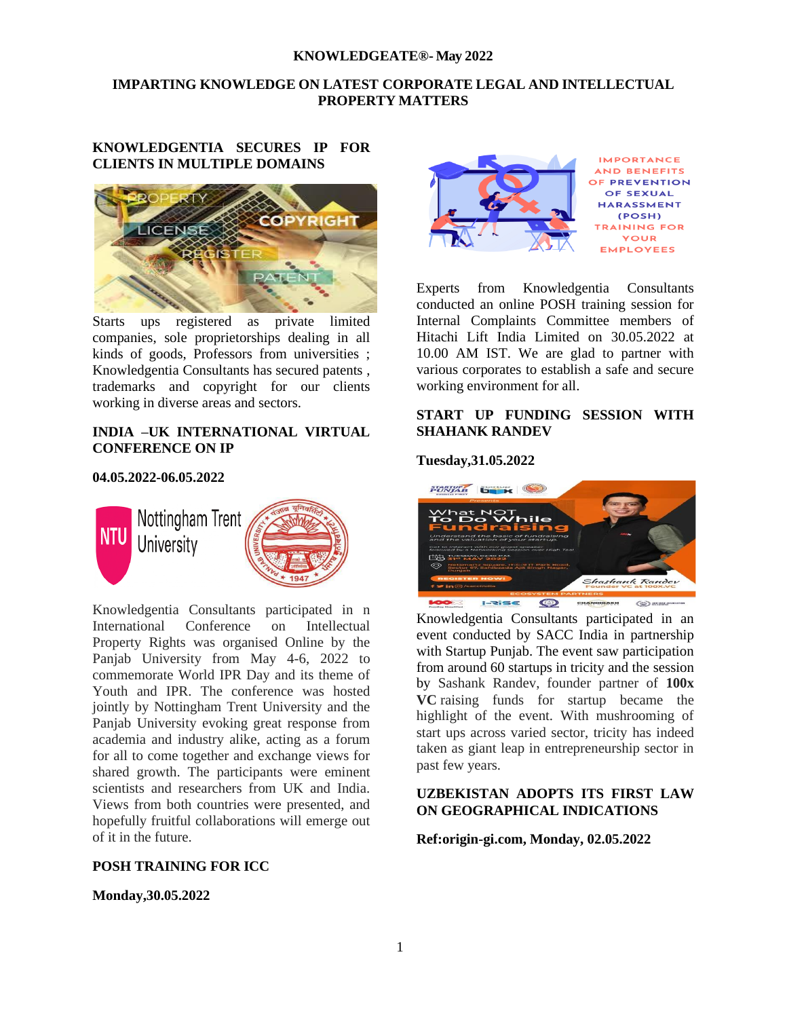# **IMPARTING KNOWLEDGE ON LATEST CORPORATE LEGAL AND INTELLECTUAL PROPERTY MATTERS**

## **KNOWLEDGENTIA SECURES IP FOR CLIENTS IN MULTIPLE DOMAINS**



Starts ups registered as private limited companies, sole proprietorships dealing in all kinds of goods, Professors from universities ; Knowledgentia Consultants has secured patents , trademarks and copyright for our clients working in diverse areas and sectors.

## **INDIA –UK INTERNATIONAL VIRTUAL CONFERENCE ON IP**

### **04.05.2022-06.05.2022**



Knowledgentia Consultants participated in n International Conference on Intellectual Property Rights was organised Online by the Panjab University from May 4-6, 2022 to commemorate World IPR Day and its theme of Youth and IPR. The conference was hosted jointly by Nottingham Trent University and the Panjab University evoking great response from academia and industry alike, acting as a forum for all to come together and exchange views for shared growth. The participants were eminent scientists and researchers from UK and India. Views from both countries were presented, and hopefully fruitful collaborations will emerge out of it in the future.

# **POSH TRAINING FOR ICC**

**Monday,30.05.2022**



Experts from Knowledgentia Consultants conducted an online POSH training session for Internal Complaints Committee members of Hitachi Lift India Limited on 30.05.2022 at 10.00 AM IST. We are glad to partner with various corporates to establish a safe and secure working environment for all.

## **START UP FUNDING SESSION WITH SHAHANK RANDEV**

### **Tuesday,31.05.2022**



Knowledgentia Consultants participated in an event conducted by SACC India in partnership with Startup Punjab. The event saw participation from around 60 startups in tricity and the session by Sashank Randev, founder partner of **100x VC** raising funds for startup became the highlight of the event. With mushrooming of start ups across varied sector, tricity has indeed taken as giant leap in entrepreneurship sector in past few years.

# **UZBEKISTAN ADOPTS ITS FIRST LAW ON GEOGRAPHICAL INDICATIONS**

**Ref:origin-gi.com, Monday, 02.05.2022**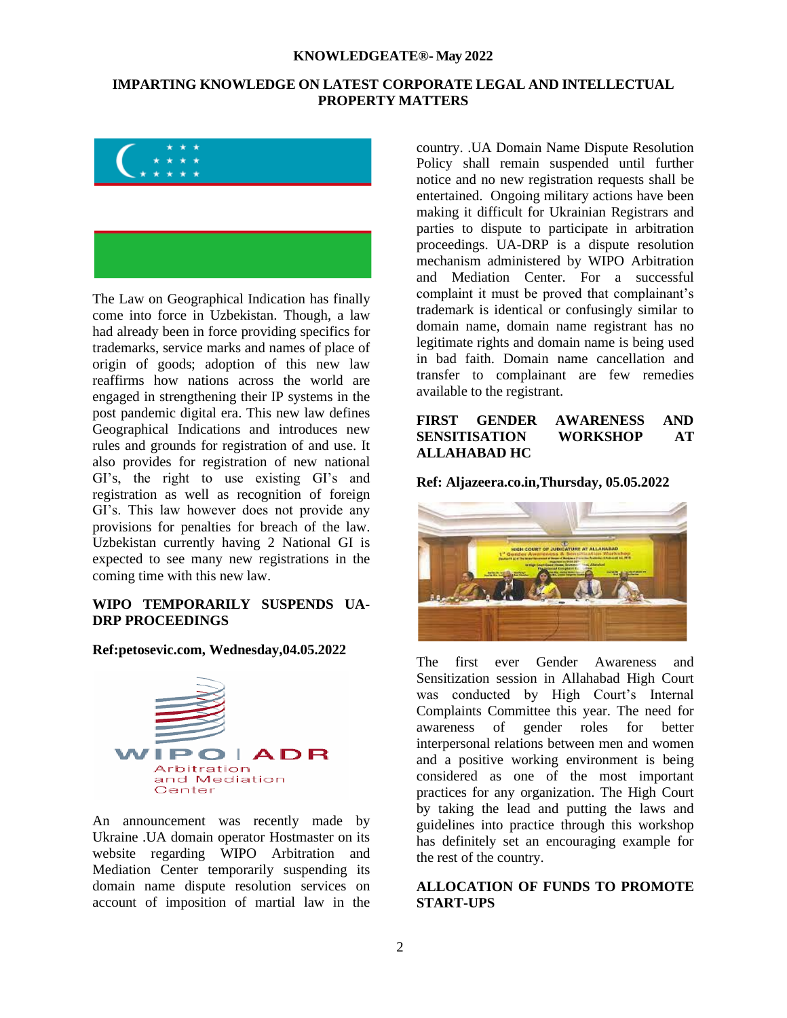# **IMPARTING KNOWLEDGE ON LATEST CORPORATE LEGAL AND INTELLECTUAL PROPERTY MATTERS**





The Law on Geographical Indication has finally come into force in Uzbekistan. Though, a law had already been in force providing specifics for trademarks, service marks and names of place of origin of goods; adoption of this new law reaffirms how nations across the world are engaged in strengthening their IP systems in the post pandemic digital era. This new law defines Geographical Indications and introduces new rules and grounds for registration of and use. It also provides for registration of new national GI's, the right to use existing GI's and registration as well as recognition of foreign GI's. This law however does not provide any provisions for penalties for breach of the law. Uzbekistan currently having 2 National GI is expected to see many new registrations in the coming time with this new law.

## **WIPO TEMPORARILY SUSPENDS UA-DRP PROCEEDINGS**

### **Ref:petosevic.com, Wednesday,04.05.2022**



An announcement was recently made by Ukraine .UA domain operator Hostmaster on its website regarding WIPO Arbitration and Mediation Center temporarily suspending its domain name dispute resolution services on account of imposition of martial law in the country. .UA Domain Name Dispute Resolution Policy shall remain suspended until further notice and no new registration requests shall be entertained. Ongoing military actions have been making it difficult for Ukrainian Registrars and parties to dispute to participate in arbitration proceedings. UA-DRP is a dispute resolution mechanism administered by WIPO Arbitration and Mediation Center. For a successful complaint it must be proved that complainant's trademark is identical or confusingly similar to domain name, domain name registrant has no legitimate rights and domain name is being used in bad faith. Domain name cancellation and transfer to complainant are few remedies available to the registrant.

## **FIRST GENDER AWARENESS AND SENSITISATION WORKSHOP AT ALLAHABAD HC**

**Ref: Aljazeera.co.in,Thursday, 05.05.2022**



The first ever Gender Awareness and Sensitization session in Allahabad High Court was conducted by High Court's Internal Complaints Committee this year. The need for awareness of gender roles for better interpersonal relations between men and women and a positive working environment is being considered as one of the most important practices for any organization. The High Court by taking the lead and putting the laws and guidelines into practice through this workshop has definitely set an encouraging example for the rest of the country.

## **ALLOCATION OF FUNDS TO PROMOTE START-UPS**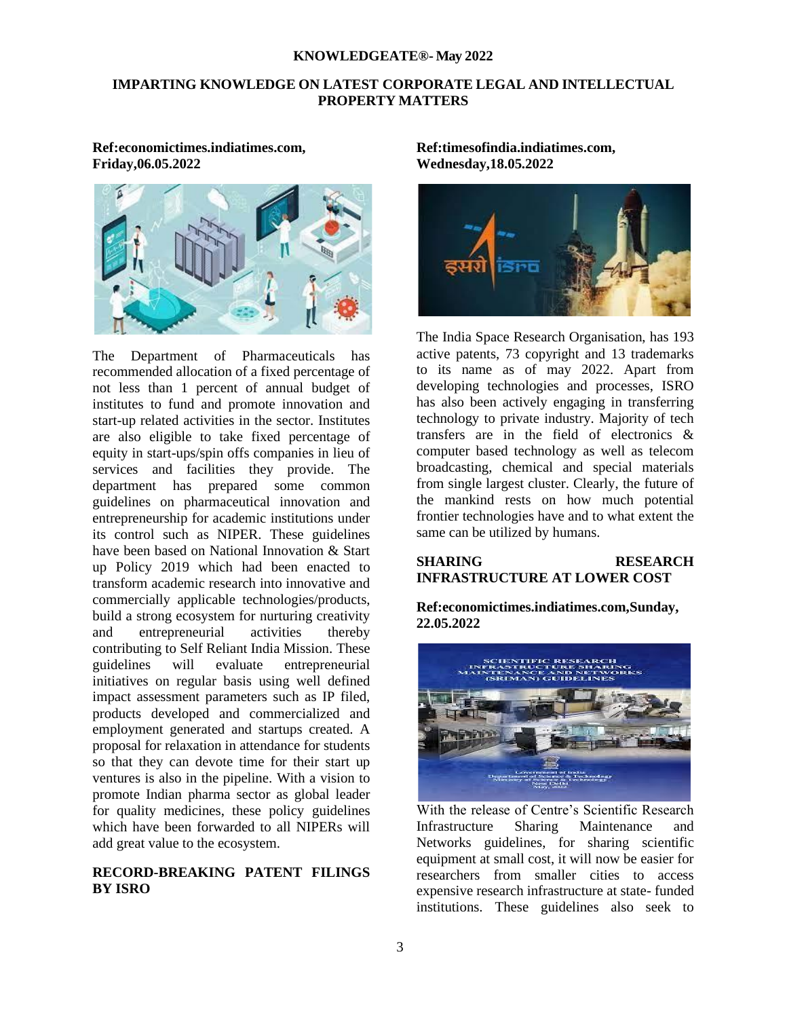# **IMPARTING KNOWLEDGE ON LATEST CORPORATE LEGAL AND INTELLECTUAL PROPERTY MATTERS**

**Ref:economictimes.indiatimes.com, Friday,06.05.2022**



The Department of Pharmaceuticals has recommended allocation of a fixed percentage of not less than 1 percent of annual budget of institutes to fund and promote innovation and start-up related activities in the sector. Institutes are also eligible to take fixed percentage of equity in start-ups/spin offs companies in lieu of services and facilities they provide. The department has prepared some common guidelines on pharmaceutical innovation and entrepreneurship for academic institutions under its control such as NIPER. These guidelines have been based on National Innovation & Start up Policy 2019 which had been enacted to transform academic research into innovative and commercially applicable technologies/products, build a strong ecosystem for nurturing creativity and entrepreneurial activities thereby contributing to Self Reliant India Mission. These guidelines will evaluate entrepreneurial initiatives on regular basis using well defined impact assessment parameters such as IP filed, products developed and commercialized and employment generated and startups created. A proposal for relaxation in attendance for students so that they can devote time for their start up ventures is also in the pipeline. With a vision to promote Indian pharma sector as global leader for quality medicines, these policy guidelines which have been forwarded to all NIPERs will add great value to the ecosystem.

# **RECORD-BREAKING PATENT FILINGS BY ISRO**

**Ref:timesofindia.indiatimes.com, Wednesday,18.05.2022**



The India Space Research Organisation, has 193 active patents, 73 copyright and 13 trademarks to its name as of may 2022. Apart from developing technologies and processes, ISRO has also been actively engaging in transferring technology to private industry. Majority of tech transfers are in the field of electronics & computer based technology as well as telecom broadcasting, chemical and special materials from single largest cluster. Clearly, the future of the mankind rests on how much potential frontier technologies have and to what extent the same can be utilized by humans.

### **SHARING RESEARCH INFRASTRUCTURE AT LOWER COST**

**Ref:economictimes.indiatimes.com,Sunday, 22.05.2022**



With the release of Centre's Scientific Research Infrastructure Sharing Maintenance and Networks guidelines, for sharing scientific equipment at small cost, it will now be easier for researchers from smaller cities to access expensive research infrastructure at state- funded institutions. These guidelines also seek to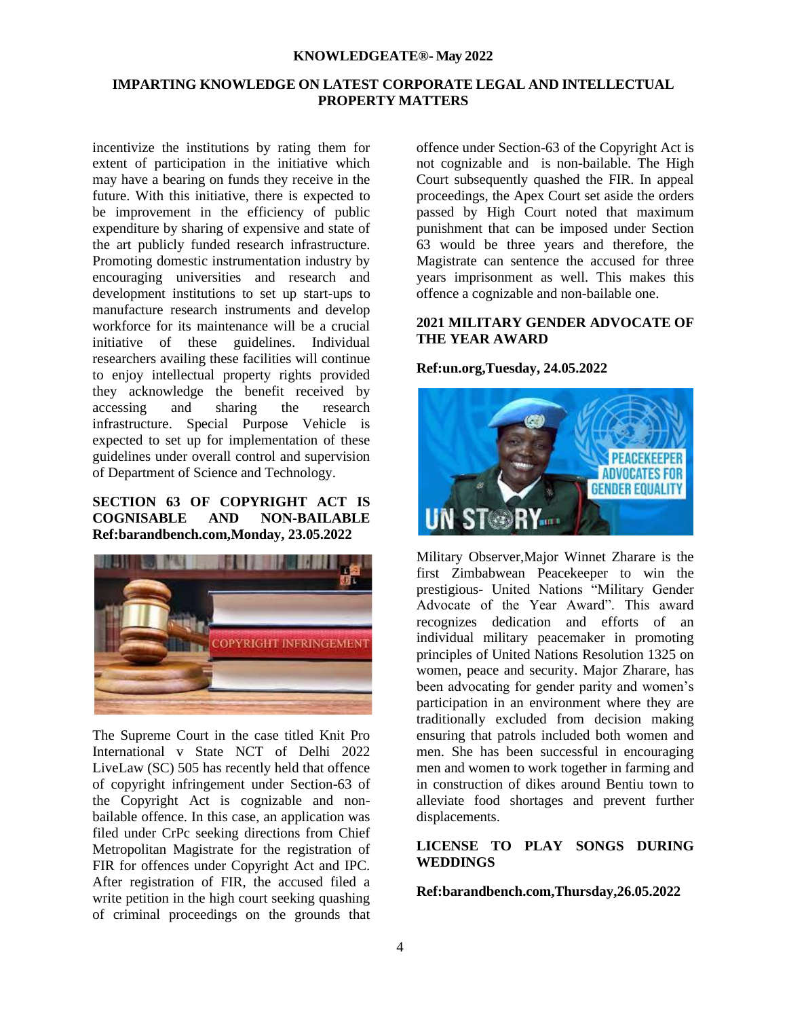# **IMPARTING KNOWLEDGE ON LATEST CORPORATE LEGAL AND INTELLECTUAL PROPERTY MATTERS**

incentivize the institutions by rating them for extent of participation in the initiative which may have a bearing on funds they receive in the future. With this initiative, there is expected to be improvement in the efficiency of public expenditure by sharing of expensive and state of the art publicly funded research infrastructure. Promoting domestic instrumentation industry by encouraging universities and research and development institutions to set up start-ups to manufacture research instruments and develop workforce for its maintenance will be a crucial initiative of these guidelines. Individual researchers availing these facilities will continue to enjoy intellectual property rights provided they acknowledge the benefit received by accessing and sharing the research infrastructure. Special Purpose Vehicle is expected to set up for implementation of these guidelines under overall control and supervision of Department of Science and Technology.

# **SECTION 63 OF COPYRIGHT ACT IS COGNISABLE AND NON-BAILABLE Ref:barandbench.com,Monday, 23.05.2022**



The Supreme Court in the case titled Knit Pro International v State NCT of Delhi 2022 LiveLaw (SC) 505 has recently held that offence of copyright infringement under Section-63 of the Copyright Act is cognizable and nonbailable offence. In this case, an application was filed under CrPc seeking directions from Chief Metropolitan Magistrate for the registration of FIR for offences under Copyright Act and IPC. After registration of FIR, the accused filed a write petition in the high court seeking quashing of criminal proceedings on the grounds that

offence under Section-63 of the Copyright Act is not cognizable and is non-bailable. The High Court subsequently quashed the FIR. In appeal proceedings, the Apex Court set aside the orders passed by High Court noted that maximum punishment that can be imposed under Section 63 would be three years and therefore, the Magistrate can sentence the accused for three years imprisonment as well. This makes this offence a cognizable and non-bailable one.

# **2021 MILITARY GENDER ADVOCATE OF THE YEAR AWARD**

## **Ref:un.org,Tuesday, 24.05.2022**



Military Observer,Major Winnet Zharare is the first Zimbabwean Peacekeeper to win the prestigious- United Nations "Military Gender Advocate of the Year Award". This award recognizes dedication and efforts of an individual military peacemaker in promoting principles of United Nations Resolution 1325 on women, peace and security. Major Zharare, has been advocating for gender parity and women's participation in an environment where they are traditionally excluded from decision making ensuring that patrols included both women and men. She has been successful in encouraging men and women to work together in farming and in construction of dikes around Bentiu town to alleviate food shortages and prevent further displacements.

### **LICENSE TO PLAY SONGS DURING WEDDINGS**

### **Ref:barandbench.com,Thursday,26.05.2022**